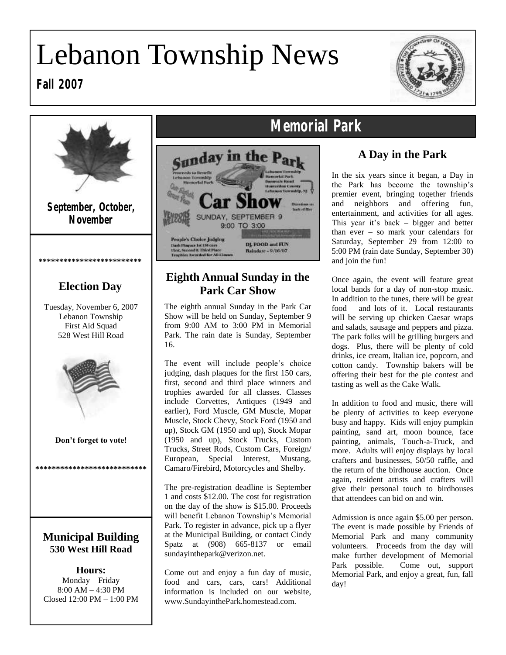# Lebanon Township News







**September, October, November**

### **Election Day**

**\*\*\*\*\*\*\*\*\*\*\*\*\*\*\*\*\*\*\*\*\*\*\*\*\***

Tuesday, November 6, 2007 Lebanon Township First Aid Squad 528 West Hill Road



**Don't forget to vote!**

**\*\*\*\*\*\*\*\*\*\*\*\*\*\*\*\*\*\*\*\*\*\*\*\*\*\*\***

### **Municipal Building 530 West Hill Road**

**Hours:** Monday – Friday 8:00 AM – 4:30 PM Closed 12:00 PM – 1:00 PM



### **Eighth Annual Sunday in the Park Car Show**

The eighth annual Sunday in the Park Car Show will be held on Sunday, September 9 from 9:00 AM to 3:00 PM in Memorial Park. The rain date is Sunday, September 16.

The event will include people's choice judging, dash plaques for the first 150 cars, first, second and third place winners and trophies awarded for all classes. Classes include Corvettes, Antiques (1949 and earlier), Ford Muscle, GM Muscle, Mopar Muscle, Stock Chevy, Stock Ford (1950 and up), Stock GM (1950 and up), Stock Mopar (1950 and up), Stock Trucks, Custom Trucks, Street Rods, Custom Cars, Foreign/ European, Special Interest, Mustang, Camaro/Firebird, Motorcycles and Shelby.

The pre-registration deadline is September 1 and costs \$12.00. The cost for registration on the day of the show is \$15.00. Proceeds will benefit Lebanon Township's Memorial Park. To register in advance, pick up a flyer at the Municipal Building, or contact Cindy Spatz at (908) 665-8137 or email sundayinthepark@verizon.net.

Come out and enjoy a fun day of music, food and cars, cars, cars! Additional information is included on our website, www.SundayinthePark.homestead.com.

### **Memorial Park**

### **A Day in the Park**

In the six years since it began, a Day in the Park has become the township's premier event, bringing together friends and neighbors and offering fun, entertainment, and activities for all ages. This year it's back – bigger and better than ever – so mark your calendars for Saturday, September 29 from 12:00 to 5:00 PM (rain date Sunday, September 30) and join the fun!

Once again, the event will feature great local bands for a day of non-stop music. In addition to the tunes, there will be great food – and lots of it. Local restaurants will be serving up chicken Caesar wraps and salads, sausage and peppers and pizza. The park folks will be grilling burgers and dogs. Plus, there will be plenty of cold drinks, ice cream, Italian ice, popcorn, and cotton candy. Township bakers will be offering their best for the pie contest and tasting as well as the Cake Walk.

In addition to food and music, there will be plenty of activities to keep everyone busy and happy. Kids will enjoy pumpkin painting, sand art, moon bounce, face painting, animals, Touch-a-Truck, and more. Adults will enjoy displays by local crafters and businesses, 50/50 raffle, and the return of the birdhouse auction. Once again, resident artists and crafters will give their personal touch to birdhouses that attendees can bid on and win.

Admission is once again \$5.00 per person. The event is made possible by Friends of Memorial Park and many community volunteers. Proceeds from the day will make further development of Memorial Park possible. Come out, support Memorial Park, and enjoy a great, fun, fall day!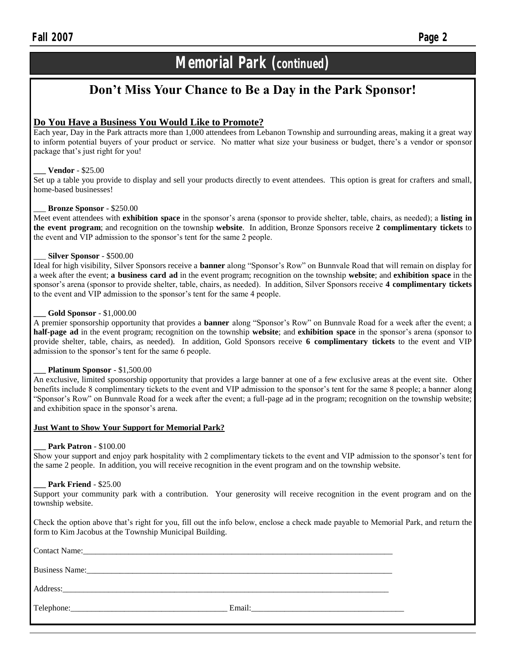### **Memorial Park (continued)**

### **Don't Miss Your Chance to Be a Day in the Park Sponsor!**

### **Do You Have a Business You Would Like to Promote?**

Each year, Day in the Park attracts more than 1,000 attendees from Lebanon Township and surrounding areas, making it a great way to inform potential buyers of your product or service. No matter what size your business or budget, there's a vendor or sponsor package that's just right for you!

### **\_\_\_ Vendor** - \$25.00

Set up a table you provide to display and sell your products directly to event attendees. This option is great for crafters and small, home-based businesses!

#### \_\_\_ **Bronze Sponsor** - \$250.00

Meet event attendees with **exhibition space** in the sponsor's arena (sponsor to provide shelter, table, chairs, as needed); a **listing in the event program**; and recognition on the township **website**. In addition, Bronze Sponsors receive **2 complimentary tickets** to the event and VIP admission to the sponsor's tent for the same 2 people.

#### \_\_\_ **Silver Sponsor** - \$500.00

Ideal for high visibility, Silver Sponsors receive a **banner** along "Sponsor's Row" on Bunnvale Road that will remain on display for a week after the event; **a business card ad** in the event program; recognition on the township **website**; and **exhibition space** in the sponsor's arena (sponsor to provide shelter, table, chairs, as needed). In addition, Silver Sponsors receive **4 complimentary tickets** to the event and VIP admission to the sponsor's tent for the same 4 people.

#### **\_\_\_ Gold Sponsor** - \$1,000.00

A premier sponsorship opportunity that provides a **banner** along "Sponsor's Row" on Bunnvale Road for a week after the event; a **half-page ad** in the event program; recognition on the township **website**; and **exhibition space** in the sponsor's arena (sponsor to provide shelter, table, chairs, as needed). In addition, Gold Sponsors receive **6 complimentary tickets** to the event and VIP admission to the sponsor's tent for the same 6 people.

#### **\_\_\_ Platinum Sponsor** - \$1,500.00

An exclusive, limited sponsorship opportunity that provides a large banner at one of a few exclusive areas at the event site. Other benefits include 8 complimentary tickets to the event and VIP admission to the sponsor's tent for the same 8 people; a banner along "Sponsor's Row" on Bunnvale Road for a week after the event; a full-page ad in the program; recognition on the township website; and exhibition space in the sponsor's arena.

#### **Just Want to Show Your Support for Memorial Park?**

#### **\_\_\_ Park Patron** - \$100.00

Show your support and enjoy park hospitality with 2 complimentary tickets to the event and VIP admission to the sponsor's tent for the same 2 people. In addition, you will receive recognition in the event program and on the township website.

#### **Park Friend - \$25.00**

Support your community park with a contribution. Your generosity will receive recognition in the event program and on the township website.

Check the option above that's right for you, fill out the info below, enclose a check made payable to Memorial Park, and return the form to Kim Jacobus at the Township Municipal Building.

| Business Name: 2008. [2016] Business Name: |        |
|--------------------------------------------|--------|
| Address:                                   |        |
|                                            | Email: |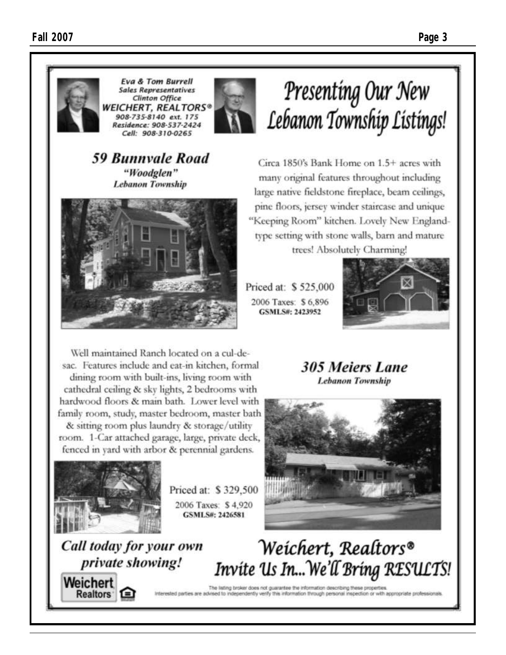

Well maintained Ranch located on a cul-desac. Features include and eat-in kitchen, formal dining room with built-ins, living room with cathedral ceiling & sky lights, 2 bedrooms with hardwood floors & main bath. Lower level with family room, study, master bedroom, master bath & sitting room plus laundry & storage/utility room. 1-Car attached garage, large, private deck, fenced in yard with arbor & perennial gardens.



Priced at: \$329,500 2006 Taxes: \$4,920 GSMLS#: 2426581

Call today for your own private showing!

# Weichert, Realtors®

**MILLIGHTER** 

**305 Meiers Lane** 

**Lebanon Township** 



The listing broker does not guarantee the information describing these prope riterested parties are advised to independently verify this information through personal inspection or with appropriate professionals.

Invite Us In... We'll Bring RESULTS!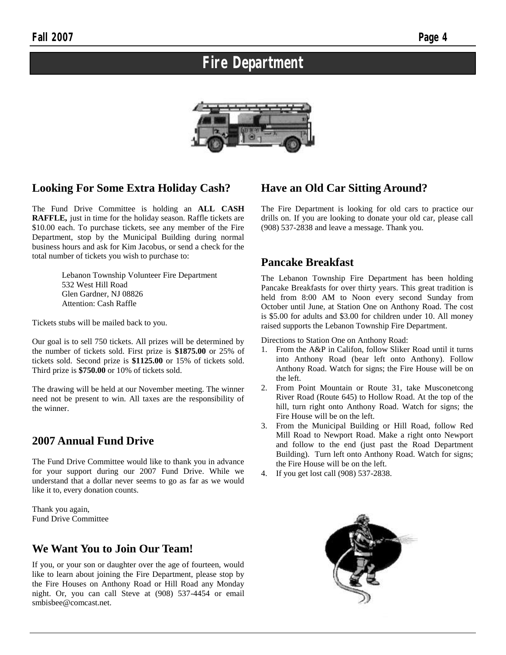### **Fire Department**



### **Looking For Some Extra Holiday Cash?**

The Fund Drive Committee is holding an **ALL CASH RAFFLE,** just in time for the holiday season. Raffle tickets are \$10.00 each. To purchase tickets, see any member of the Fire Department, stop by the Municipal Building during normal business hours and ask for Kim Jacobus, or send a check for the total number of tickets you wish to purchase to:

> Lebanon Township Volunteer Fire Department 532 West Hill Road Glen Gardner, NJ 08826 Attention: Cash Raffle

Tickets stubs will be mailed back to you.

Our goal is to sell 750 tickets. All prizes will be determined by the number of tickets sold. First prize is **\$1875.00** or 25% of tickets sold. Second prize is **\$1125.00** or 15% of tickets sold. Third prize is **\$750.00** or 10% of tickets sold.

The drawing will be held at our November meeting. The winner need not be present to win. All taxes are the responsibility of the winner.

### **2007 Annual Fund Drive**

The Fund Drive Committee would like to thank you in advance for your support during our 2007 Fund Drive. While we understand that a dollar never seems to go as far as we would like it to, every donation counts.

Thank you again, Fund Drive Committee

### **We Want You to Join Our Team!**

If you, or your son or daughter over the age of fourteen, would like to learn about joining the Fire Department, please stop by the Fire Houses on Anthony Road or Hill Road any Monday night. Or, you can call Steve at (908) 537-4454 or email smbisbee@comcast.net.

### **Have an Old Car Sitting Around?**

The Fire Department is looking for old cars to practice our drills on. If you are looking to donate your old car, please call (908) 537-2838 and leave a message. Thank you.

### **Pancake Breakfast**

The Lebanon Township Fire Department has been holding Pancake Breakfasts for over thirty years. This great tradition is held from 8:00 AM to Noon every second Sunday from October until June, at Station One on Anthony Road. The cost is \$5.00 for adults and \$3.00 for children under 10. All money raised supports the Lebanon Township Fire Department.

Directions to Station One on Anthony Road:

- 1. From the A&P in Califon, follow Sliker Road until it turns into Anthony Road (bear left onto Anthony). Follow Anthony Road. Watch for signs; the Fire House will be on the left.
- 2. From Point Mountain or Route 31, take Musconetcong River Road (Route 645) to Hollow Road. At the top of the hill, turn right onto Anthony Road. Watch for signs; the Fire House will be on the left.
- 3. From the Municipal Building or Hill Road, follow Red Mill Road to Newport Road. Make a right onto Newport and follow to the end (just past the Road Department Building). Turn left onto Anthony Road. Watch for signs; the Fire House will be on the left.
- 4. If you get lost call (908) 537-2838.

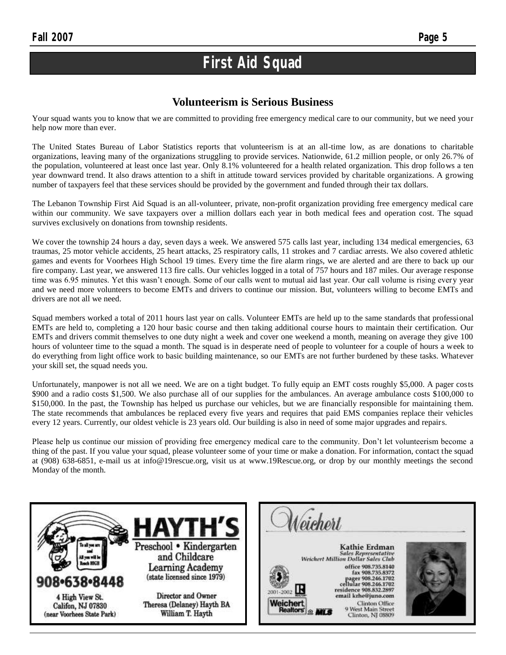### **First Aid Squad**

### **Volunteerism is Serious Business**

Your squad wants you to know that we are committed to providing free emergency medical care to our community, but we need your help now more than ever.

The United States Bureau of Labor Statistics reports that volunteerism is at an all-time low, as are donations to charitable organizations, leaving many of the organizations struggling to provide services. Nationwide, 61.2 million people, or only 26.7% of the population, volunteered at least once last year. Only 8.1% volunteered for a health related organization. This drop follows a ten year downward trend. It also draws attention to a shift in attitude toward services provided by charitable organizations. A growing number of taxpayers feel that these services should be provided by the government and funded through their tax dollars.

The Lebanon Township First Aid Squad is an all-volunteer, private, non-profit organization providing free emergency medical care within our community. We save taxpayers over a million dollars each year in both medical fees and operation cost. The squad survives exclusively on donations from township residents.

We cover the township 24 hours a day, seven days a week. We answered 575 calls last year, including 134 medical emergencies, 63 traumas, 25 motor vehicle accidents, 25 heart attacks, 25 respiratory calls, 11 strokes and 7 cardiac arrests. We also covered athletic games and events for Voorhees High School 19 times. Every time the fire alarm rings, we are alerted and are there to back up our fire company. Last year, we answered 113 fire calls. Our vehicles logged in a total of 757 hours and 187 miles. Our average response time was 6.95 minutes. Yet this wasn't enough. Some of our calls went to mutual aid last year. Our call volume is rising every year and we need more volunteers to become EMTs and drivers to continue our mission. But, volunteers willing to become EMTs and drivers are not all we need.

Squad members worked a total of 2011 hours last year on calls. Volunteer EMTs are held up to the same standards that professional EMTs are held to, completing a 120 hour basic course and then taking additional course hours to maintain their certification. Our EMTs and drivers commit themselves to one duty night a week and cover one weekend a month, meaning on average they give 100 hours of volunteer time to the squad a month. The squad is in desperate need of people to volunteer for a couple of hours a week to do everything from light office work to basic building maintenance, so our EMTs are not further burdened by these tasks. Whatever your skill set, the squad needs you.

Unfortunately, manpower is not all we need. We are on a tight budget. To fully equip an EMT costs roughly \$5,000. A pager costs \$900 and a radio costs \$1,500. We also purchase all of our supplies for the ambulances. An average ambulance costs \$100,000 to \$150,000. In the past, the Township has helped us purchase our vehicles, but we are financially responsible for maintaining them. The state recommends that ambulances be replaced every five years and requires that paid EMS companies replace their vehicles every 12 years. Currently, our oldest vehicle is 23 years old. Our building is also in need of some major upgrades and repairs.

Please help us continue our mission of providing free emergency medical care to the community. Don't let volunteerism become a thing of the past. If you value your squad, please volunteer some of your time or make a donation. For information, contact the squad at (908) 638-6851, e-mail us at info@19rescue.org, visit us at www.19Rescue.org, or drop by our monthly meetings the second Monday of the month.



Veichert Kathie Erdman Sales Representative<br>Weichert Million Dollar Sales Club office 908.735.8140 fax 908.735.8372 pager 908.246.1702<br>cellular 908.246.1702 residence 908.832.2897 2001-2002 email krhe@juno.com Weichert Clinton Office 9 West Main Street **Realtors © MIR** Clinton, NJ 08809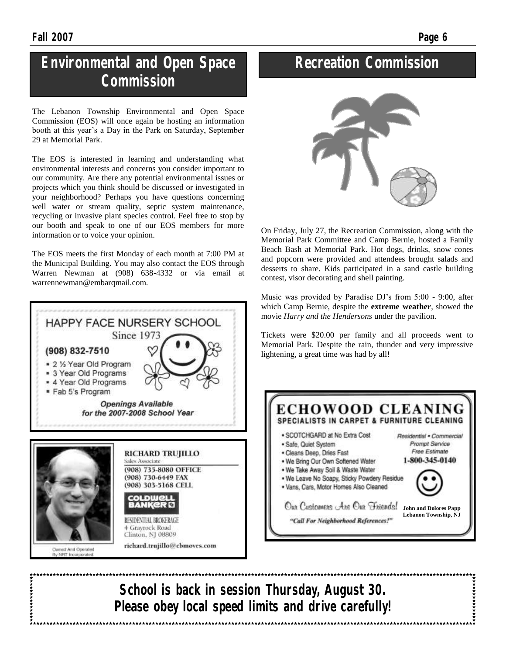### **Environmental and Open Space Commission**

The Lebanon Township Environmental and Open Space Commission (EOS) will once again be hosting an information booth at this year's a Day in the Park on Saturday, September 29 at Memorial Park.

The EOS is interested in learning and understanding what environmental interests and concerns you consider important to our community. Are there any potential environmental issues or projects which you think should be discussed or investigated in your neighborhood? Perhaps you have questions concerning well water or stream quality, septic system maintenance, recycling or invasive plant species control. Feel free to stop by our booth and speak to one of our EOS members for more information or to voice your opinion.

The EOS meets the first Monday of each month at 7:00 PM at the Municipal Building. You may also contact the EOS through Warren Newman at (908) 638-4332 or via email at warrennewman@embarqmail.com.



\*\*\*\*\*\*\*\*\*\*\*\*\*\*\*\*\*\*\*\*\*\*\*\*\*\*\*\*

### **Recreation Commission**



On Friday, July 27, the Recreation Commission, along with the Memorial Park Committee and Camp Bernie, hosted a Family Beach Bash at Memorial Park. Hot dogs, drinks, snow cones and popcorn were provided and attendees brought salads and desserts to share. Kids participated in a sand castle building contest, visor decorating and shell painting.

Music was provided by Paradise DJ's from 5:00 - 9:00, after which Camp Bernie, despite the **extreme weather**, showed the movie *Harry and the Hendersons* under the pavilion.

Tickets were \$20.00 per family and all proceeds went to Memorial Park. Despite the rain, thunder and very impressive lightening, a great time was had by all!



**School is back in session Thursday, August 30. Please obey local speed limits and drive carefully!**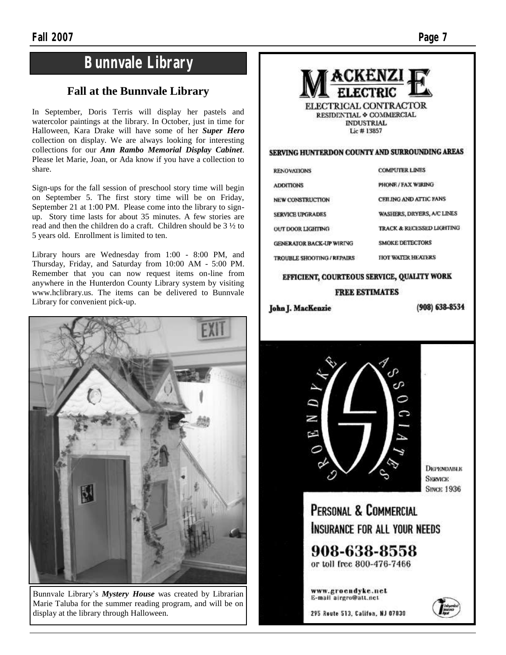### **Bunnvale Library**

### **Fall at the Bunnvale Library**

In September, Doris Terris will display her pastels and watercolor paintings at the library. In October, just in time for Halloween, Kara Drake will have some of her *Super Hero* collection on display. We are always looking for interesting collections for our *Ann Rambo Memorial Display Cabinet*. Please let Marie, Joan, or Ada know if you have a collection to share.

Sign-ups for the fall session of preschool story time will begin on September 5. The first story time will be on Friday, September 21 at 1:00 PM. Please come into the library to signup. Story time lasts for about 35 minutes. A few stories are read and then the children do a craft. Children should be 3 ½ to 5 years old. Enrollment is limited to ten.

Library hours are Wednesday from 1:00 - 8:00 PM, and Thursday, Friday, and Saturday from 10:00 AM - 5:00 PM. Remember that you can now request items on-line from anywhere in the Hunterdon County Library system by visiting www.hclibrary.us. The items can be delivered to Bunnvale Library for convenient pick-up.



Bunnvale Library's *Mystery House* was created by Librarian Marie Taluba for the summer reading program, and will be on display at the library through Halloween.



#### SERVING HUNTERDON COUNTY AND SURROUNDING AREAS

| <b>RENOVATIONS</b>              | <b>COMPUTER LINES</b>                |  |
|---------------------------------|--------------------------------------|--|
| <b>ADDITIONS</b>                | PHONE / FAX WIRING                   |  |
| <b>NEW CONSTRUCTION</b>         | CEILING AND ATTIC FANS               |  |
| <b>SERVICE UPGRADES</b>         | WASHERS, DRYERS, A/C LINES           |  |
| OUT DOOR LIGHTING               | <b>TRACK &amp; RECESSED LIGHTING</b> |  |
| <b>GENERATOR BACK-UP WIRING</b> | <b>SMOKE DETECTORS</b>               |  |
| <b>TROUBLE SHOOTING/REPAIRS</b> | <b>HOT WATER HEATERS</b>             |  |

### EFFICIENT, COURTEOUS SERVICE, QUALITY WORK **FREE ESTIMATES**

John J. MacKenzie

 $(908) 638 - 8534$ 



*<u>DEPENDABLE</u>* **SKRVICK SINCE 1936** 

PERSONAL & COMMERCIAL INSURANCE FOR ALL YOUR NEEDS

908-638-8558 or toll free 800-476-7466

www.groendyke.net E-mail airgro@att.nct

295 Route 513, Califon, NJ 07839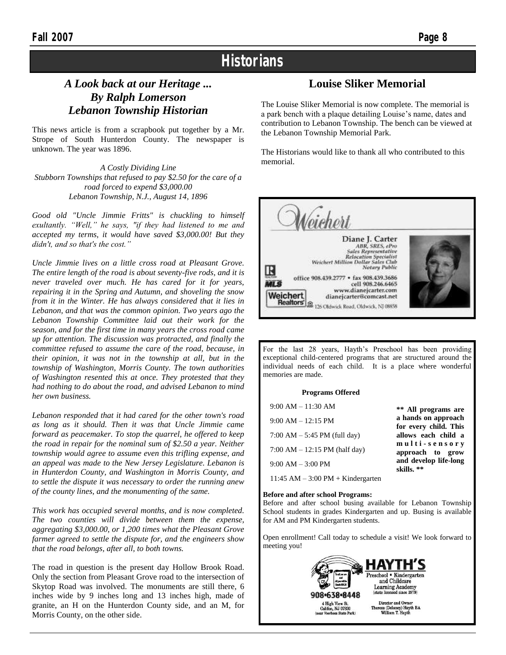### **Historians**

### *A Look back at our Heritage ... By Ralph Lomerson Lebanon Township Historian*

This news article is from a scrapbook put together by a Mr. Strope of South Hunterdon County. The newspaper is unknown. The year was 1896.

*A Costly Dividing Line Stubborn Townships that refused to pay \$2.50 for the care of a road forced to expend \$3,000.00 Lebanon Township, N.J., August 14, 1896*

*Good old "Uncle Jimmie Fritts" is chuckling to himself exultantly. "Well," he says, "if they had listened to me and accepted my terms, it would have saved \$3,000.00! But they didn't, and so that's the cost."*

*Uncle Jimmie lives on a little cross road at Pleasant Grove. The entire length of the road is about seventy-five rods, and it is never traveled over much. He has cared for it for years, repairing it in the Spring and Autumn, and shoveling the snow from it in the Winter. He has always considered that it lies in Lebanon, and that was the common opinion. Two years ago the Lebanon Township Committee laid out their work for the season, and for the first time in many years the cross road came up for attention. The discussion was protracted, and finally the committee refused to assume the care of the road, because, in their opinion, it was not in the township at all, but in the township of Washington, Morris County. The town authorities of Washington resented this at once. They protested that they had nothing to do about the road, and advised Lebanon to mind her own business.*

*Lebanon responded that it had cared for the other town's road as long as it should. Then it was that Uncle Jimmie came forward as peacemaker. To stop the quarrel, he offered to keep the road in repair for the nominal sum of \$2.50 a year. Neither township would agree to assume even this trifling expense, and an appeal was made to the New Jersey Legislature. Lebanon is in Hunterdon County, and Washington in Morris County, and to settle the dispute it was necessary to order the running anew of the county lines, and the monumenting of the same.*

*This work has occupied several months, and is now completed. The two counties will divide between them the expense, aggregating \$3,000.00, or 1,200 times what the Pleasant Grove farmer agreed to settle the dispute for, and the engineers show that the road belongs, after all, to both towns.*

The road in question is the present day Hollow Brook Road. Only the section from Pleasant Grove road to the intersection of Skytop Road was involved. The monuments are still there, 6 inches wide by 9 inches long and 13 inches high, made of granite, an H on the Hunterdon County side, and an M, for Morris County, on the other side.

### **Louise Sliker Memorial**

The Louise Sliker Memorial is now complete. The memorial is a park bench with a plaque detailing Louise's name, dates and contribution to Lebanon Township. The bench can be viewed at the Lebanon Township Memorial Park.

The Historians would like to thank all who contributed to this memorial.



For the last 28 years, Hayth's Preschool has been providing exceptional child-centered programs that are structured around the individual needs of each child. It is a place where wonderful memories are made.

#### **Programs Offered**

| $9:00$ AM $-11:30$ AM                 | ** All programs are                          |
|---------------------------------------|----------------------------------------------|
| $9:00 AM - 12:15 PM$                  | a hands on approach<br>for every child. This |
| 7:00 AM $-$ 5:45 PM (full day)        | allows each child a                          |
| $7:00$ AM $-12:15$ PM (half day)      | multi-sensory<br>approach to grow            |
| $9:00 AM - 3:00 PM$                   | and develop life-long<br>skills. **          |
| 11:45 AM $-$ 3:00 PM $+$ Kindergarten |                                              |

#### **Before and after school Programs:**

Before and after school busing available for Lebanon Township School students in grades Kindergarten and up. Busing is available for AM and PM Kindergarten students.

Open enrollment! Call today to schedule a visit! We look forward to meeting you!

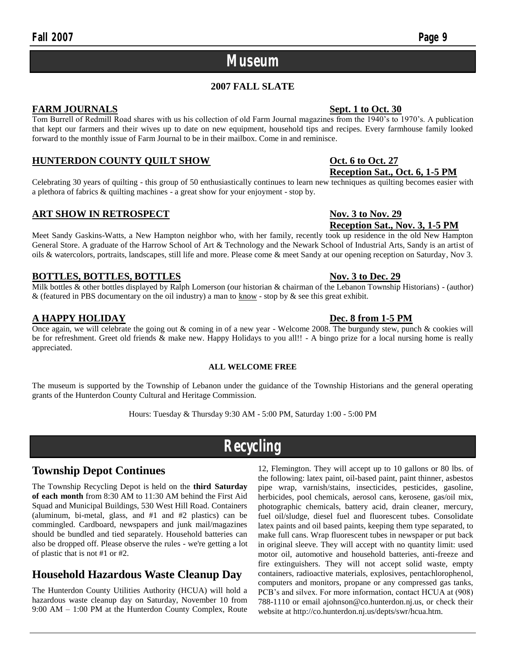### **Museum**

### **2007 FALL SLATE**

### **FARM JOURNALS** Sept. 1 to Oct. 30

Tom Burrell of Redmill Road shares with us his collection of old Farm Journal magazines from the 1940's to 1970's. A publication that kept our farmers and their wives up to date on new equipment, household tips and recipes. Every farmhouse family looked forward to the monthly issue of Farm Journal to be in their mailbox. Come in and reminisce.

### **HUNTERDON COUNTY QUILT SHOW Oct. 6 to Oct. 27**

Celebrating 30 years of quilting - this group of 50 enthusiastically continues to learn new techniques as quilting becomes easier with a plethora of fabrics & quilting machines - a great show for your enjoyment - stop by.

### **ART SHOW IN RETROSPECT** Nov. 3 to Nov. 29

**Reception Sat., Nov. 3, 1-5 PM** Meet Sandy Gaskins-Watts, a New Hampton neighbor who, with her family, recently took up residence in the old New Hampton General Store. A graduate of the Harrow School of Art & Technology and the Newark School of Industrial Arts, Sandy is an artist of oils & watercolors, portraits, landscapes, still life and more. Please come & meet Sandy at our opening reception on Saturday, Nov 3.

### **BOTTLES, BOTTLES, BOTTLES** Nov. 3 to Dec. 29

Milk bottles & other bottles displayed by Ralph Lomerson (our historian & chairman of the Lebanon Township Historians) - (author) & (featured in PBS documentary on the oil industry) a man to know - stop by & see this great exhibit.

### **A HAPPY HOLIDAY Dec. 8 from 1-5 PM**

Once again, we will celebrate the going out & coming in of a new year - Welcome 2008. The burgundy stew, punch & cookies will be for refreshment. Greet old friends & make new. Happy Holidays to you all!! - A bingo prize for a local nursing home is really appreciated.

### **ALL WELCOME FREE**

The museum is supported by the Township of Lebanon under the guidance of the Township Historians and the general operating grants of the Hunterdon County Cultural and Heritage Commission.

Hours: Tuesday & Thursday 9:30 AM - 5:00 PM, Saturday 1:00 - 5:00 PM

### **Recycling**

### **Township Depot Continues**

The Township Recycling Depot is held on the **third Saturday of each month** from 8:30 AM to 11:30 AM behind the First Aid Squad and Municipal Buildings, 530 West Hill Road. Containers (aluminum, bi-metal, glass, and #1 and #2 plastics) can be commingled. Cardboard, newspapers and junk mail/magazines should be bundled and tied separately. Household batteries can also be dropped off. Please observe the rules - we're getting a lot of plastic that is not #1 or #2.

### **Household Hazardous Waste Cleanup Day**

The Hunterdon County Utilities Authority (HCUA) will hold a hazardous waste cleanup day on Saturday, November 10 from 9:00 AM – 1:00 PM at the Hunterdon County Complex, Route

12, Flemington. They will accept up to 10 gallons or 80 lbs. of the following: latex paint, oil-based paint, paint thinner, asbestos pipe wrap, varnish/stains, insecticides, pesticides, gasoline, herbicides, pool chemicals, aerosol cans, kerosene, gas/oil mix, photographic chemicals, battery acid, drain cleaner, mercury, fuel oil/sludge, diesel fuel and fluorescent tubes. Consolidate latex paints and oil based paints, keeping them type separated, to make full cans. Wrap fluorescent tubes in newspaper or put back in original sleeve. They will accept with no quantity limit: used motor oil, automotive and household batteries, anti-freeze and fire extinguishers. They will not accept solid waste, empty containers, radioactive materials, explosives, pentachlorophenol, computers and monitors, propane or any compressed gas tanks, PCB's and silvex. For more information, contact HCUA at (908) 788-1110 or email ajohnson@co.hunterdon.nj.us, or check their website at http://co.hunterdon.nj.us/depts/swr/hcua.htm.

# **Reception Sat., Oct. 6, 1-5 PM**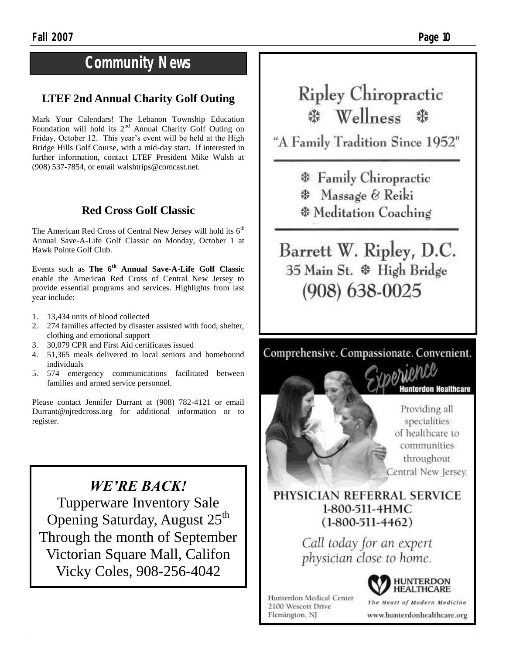### **Community News**

### **LTEF 2nd Annual Charity Golf Outing**

Mark Your Calendars! The Lebanon Township Education Foundation will hold its  $2<sup>nd</sup>$  Annual Charity Golf Outing on Friday, October 12. This year's event will be held at the High Bridge Hills Golf Course, with a mid-day start. If interested in further information, contact LTEF President Mike Walsh at (908) 537-7854, or email [walshtrips@comcast.net.](mailto:walshtrips@comcast.net)

### **Red Cross Golf Classic**

The American Red Cross of Central New Jersey will hold its  $6<sup>th</sup>$ Annual Save-A-Life Golf Classic on Monday, October 1 at Hawk Pointe Golf Club.

Events such as **The 6th Annual Save-A-Life Golf Classic** enable the American Red Cross of Central New Jersey to provide essential programs and services. Highlights from last year include:

- 1. 13,434 units of blood collected
- 2. 274 families affected by disaster assisted with food, shelter, clothing and emotional support
- 3. 30,079 CPR and First Aid certificates issued
- 4. 51,365 meals delivered to local seniors and homebound individuals
- 5. 574 emergency communications facilitated between families and armed service personnel.

Please contact Jennifer Durrant at (908) 782-4121 or email Durrant@njredcross.org for additional information or to register.

*WE'RE BACK!* Tupperware Inventory Sale Opening Saturday, August 25<sup>th</sup> Through the month of September Victorian Square Mall, Califon Vicky Coles, 908-256-4042

# **Ripley Chiropractic** ※ Wellness ※

"A Family Tradition Since 1952"

**\*** Family Chiropractic *S* Massage & Reiki **\* Meditation Coaching** 

Barrett W. Ripley, D.C. 35 Main St. \* High Bridge  $(908)$  638-0025

Comprehensive. Compassionate. Convenient.

Providing all specialities of healthcare to communities throughout Central New Jersey.

**Hunterdon Healthcare** 

### PHYSICIAN REFERRAL SERVICE 1-800-511-4HMC  $(1-800-511-4462)$

Call today for an expert physician close to home.

Hunterdon Medical Center 2100 Wescott Drive Flemington, NJ



The Heart of Modern Medicine www.hunterdonhealthcare.org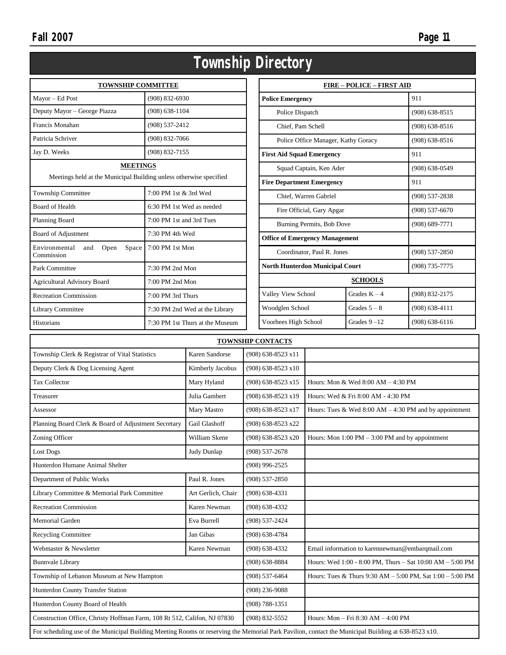|                                                                                       | Township                        |  |
|---------------------------------------------------------------------------------------|---------------------------------|--|
| <b>TOWNSHIP COMMITTEE</b>                                                             |                                 |  |
| Mayor - Ed Post                                                                       | $(908) 832 - 6930$              |  |
| Deputy Mayor - George Piazza                                                          | $(908) 638 - 1104$              |  |
| Francis Monahan                                                                       | (908) 537-2412                  |  |
| Patricia Schriver                                                                     | $(908) 832 - 7066$              |  |
| Jay D. Weeks                                                                          | (908) 832-7155                  |  |
| <b>MEETINGS</b><br>Meetings held at the Municipal Building unless otherwise specified |                                 |  |
| Township Committee                                                                    | 7:00 PM 1st & 3rd Wed           |  |
| <b>Board of Health</b>                                                                | 6:30 PM 1st Wed as needed       |  |
| Planning Board                                                                        | 7:00 PM 1st and 3rd Tues        |  |
| Board of Adjustment                                                                   | 7:30 PM 4th Wed                 |  |
| Environmental<br>and<br>Open<br>Space<br>Commission                                   | 7:00 PM 1st Mon                 |  |
| Park Committee                                                                        | 7:30 PM 2nd Mon                 |  |
| <b>Agricultural Advisory Board</b>                                                    | 7:00 PM 2nd Mon                 |  |
| <b>Recreation Commission</b>                                                          | 7:00 PM 3rd Thurs               |  |
| <b>Library Committee</b>                                                              | 7:30 PM 2nd Wed at the Library  |  |
| <b>Historians</b>                                                                     | 7:30 PM 1st Thurs at the Museum |  |

| <b>FIRE - POLICE - FIRST AID</b>       |                 |                    |
|----------------------------------------|-----------------|--------------------|
| <b>Police Emergency</b>                |                 | 911                |
| Police Dispatch                        |                 | $(908) 638 - 8515$ |
| Chief, Pam Schell                      |                 | $(908) 638 - 8516$ |
| Police Office Manager, Kathy Goracy    |                 | $(908) 638 - 8516$ |
| <b>First Aid Squad Emergency</b>       |                 | 911                |
| Squad Captain, Ken Ader                |                 | $(908) 638 - 0549$ |
| <b>Fire Department Emergency</b>       |                 | 911                |
| Chief. Warren Gabriel                  |                 | (908) 537-2838     |
| Fire Official, Gary Apgar              |                 | $(908) 537 - 6670$ |
| Burning Permits, Bob Dove              |                 | $(908) 689 - 7771$ |
| <b>Office of Emergency Management</b>  |                 |                    |
| Coordinator, Paul R. Jones             |                 | (908) 537-2850     |
| <b>North Hunterdon Municipal Court</b> |                 | (908) 735-7775     |
| <b>SCHOOLS</b>                         |                 |                    |
| Valley View School                     | Grades $K - 4$  | $(908) 832 - 2175$ |
| Woodglen School                        | Grades $5 - 8$  | $(908)$ 638-4111   |
| Voorhees High School                   | Grades $9 - 12$ | $(908) 638 - 6116$ |

| <b>TOWNSHIP CONTACTS</b>                                                                                                                            |                    |                      |                                                                   |
|-----------------------------------------------------------------------------------------------------------------------------------------------------|--------------------|----------------------|-------------------------------------------------------------------|
| Township Clerk & Registrar of Vital Statistics                                                                                                      | Karen Sandorse     | (908) 638-8523 x11   |                                                                   |
| Deputy Clerk & Dog Licensing Agent                                                                                                                  | Kimberly Jacobus   | $(908)$ 638-8523 x10 |                                                                   |
| <b>Tax Collector</b>                                                                                                                                | Mary Hyland        | (908) 638-8523 x15   | Hours: Mon & Wed $8:00 AM - 4:30 PM$                              |
| Treasurer                                                                                                                                           | Julia Gambert      | (908) 638-8523 x19   | Hours: Wed & Fri 8:00 AM - 4:30 PM                                |
| Assessor                                                                                                                                            | Mary Mastro        | (908) 638-8523 x17   | Hours: Tues & Wed 8:00 AM $-$ 4:30 PM and by appointment          |
| Planning Board Clerk & Board of Adjustment Secretary                                                                                                | Gail Glashoff      | (908) 638-8523 x22   |                                                                   |
| Zoning Officer                                                                                                                                      | William Skene      | (908) 638-8523 x20   | Hours: Mon $1:00 \text{ PM} - 3:00 \text{ PM}$ and by appointment |
| Lost Dogs                                                                                                                                           | Judy Dunlap        | $(908) 537 - 2678$   |                                                                   |
| Hunterdon Humane Animal Shelter                                                                                                                     |                    | $(908)$ 996-2525     |                                                                   |
| Department of Public Works                                                                                                                          | Paul R. Jones      | $(908) 537 - 2850$   |                                                                   |
| Library Committee & Memorial Park Committee                                                                                                         | Art Gerlich, Chair | $(908) 638 - 4331$   |                                                                   |
| <b>Recreation Commission</b>                                                                                                                        | Karen Newman       | $(908) 638 - 4332$   |                                                                   |
| <b>Memorial Garden</b>                                                                                                                              | Eva Burrell        | (908) 537-2424       |                                                                   |
| Recycling Committee                                                                                                                                 | Jan Gibas          | $(908)$ 638-4784     |                                                                   |
| Webmaster & Newsletter                                                                                                                              | Karen Newman       | $(908)$ 638-4332     | Email information to karennewman@embarqmail.com                   |
| <b>Bunnvale Library</b>                                                                                                                             |                    | $(908)$ 638-8884     | Hours: Wed 1:00 - 8:00 PM, Thurs - Sat 10:00 AM - 5:00 PM         |
| Township of Lebanon Museum at New Hampton                                                                                                           |                    | $(908) 537 - 6464$   | Hours: Tues & Thurs 9:30 AM - 5:00 PM, Sat 1:00 - 5:00 PM         |
| Hunterdon County Transfer Station                                                                                                                   |                    | $(908)$ 236-9088     |                                                                   |
| Hunterdon County Board of Health                                                                                                                    |                    | $(908) 788 - 1351$   |                                                                   |
| Construction Office, Christy Hoffman Farm, 108 Rt 512, Califon, NJ 07830                                                                            |                    | (908) 832-5552       | Hours: Mon - Fri 8:30 AM - 4:00 PM                                |
| For scheduling use of the Municipal Building Meeting Rooms or reserving the Memorial Park Pavilion, contact the Municipal Building at 638-8523 x10. |                    |                      |                                                                   |

## Directory